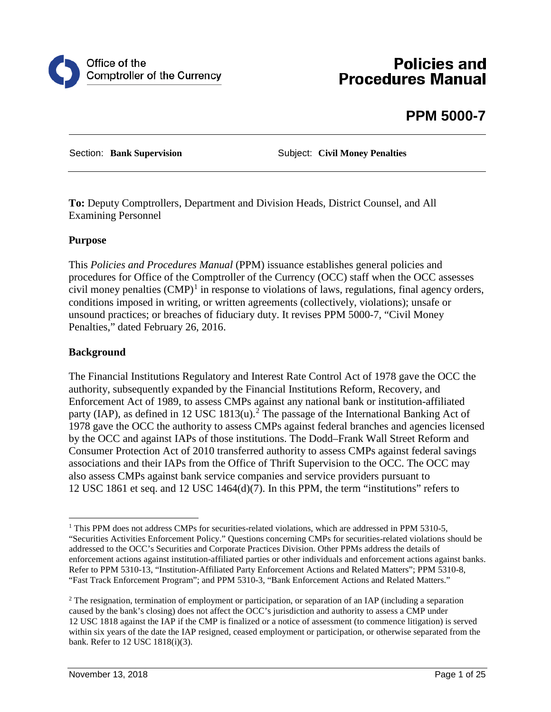

# **Policies and Procedures Manual**

# **PPM 5000-7**

Section: **Bank Supervision Subject: Civil Money Penalties** 

**To:** Deputy Comptrollers, Department and Division Heads, District Counsel, and All Examining Personnel

#### **Purpose**

This *Policies and Procedures Manual* (PPM) issuance establishes general policies and procedures for Office of the Comptroller of the Currency (OCC) staff when the OCC assesses civil money penalties  $(CMP)^1$  $(CMP)^1$  in response to violations of laws, regulations, final agency orders, conditions imposed in writing, or written agreements (collectively, violations); unsafe or unsound practices; or breaches of fiduciary duty. It revises PPM 5000-7, "Civil Money Penalties," dated February 26, 2016.

#### **Background**

The Financial Institutions Regulatory and Interest Rate Control Act of 1978 gave the OCC the authority, subsequently expanded by the Financial Institutions Reform, Recovery, and Enforcement Act of 1989, to assess CMPs against any national bank or institution-affiliated party (IAP), as defined in 1[2](#page-0-1) USC 1813(u).<sup>2</sup> The passage of the International Banking Act of 1978 gave the OCC the authority to assess CMPs against federal branches and agencies licensed by the OCC and against IAPs of those institutions. The Dodd–Frank Wall Street Reform and Consumer Protection Act of 2010 transferred authority to assess CMPs against federal savings associations and their IAPs from the Office of Thrift Supervision to the OCC. The OCC may also assess CMPs against bank service companies and service providers pursuant to 12 USC 1861 et seq. and 12 USC 1464(d)(7). In this PPM, the term "institutions" refers to

<span id="page-0-0"></span><sup>&</sup>lt;sup>1</sup> This PPM does not address CMPs for securities-related violations, which are addressed in PPM 5310-5, "Securities Activities Enforcement Policy." Questions concerning CMPs for securities-related violations should be addressed to the OCC's Securities and Corporate Practices Division. Other PPMs address the details of enforcement actions against institution-affiliated parties or other individuals and enforcement actions against banks. Refer to PPM 5310-13, "Institution-Affiliated Party Enforcement Actions and Related Matters"; PPM 5310-8, "Fast Track Enforcement Program"; and PPM 5310-3, "Bank Enforcement Actions and Related Matters."

<span id="page-0-1"></span><sup>&</sup>lt;sup>2</sup> The resignation, termination of employment or participation, or separation of an IAP (including a separation caused by the bank's closing) does not affect the OCC's jurisdiction and authority to assess a CMP under 12 USC 1818 against the IAP if the CMP is finalized or a notice of assessment (to commence litigation) is served within six years of the date the IAP resigned, ceased employment or participation, or otherwise separated from the bank. Refer to 12 USC 1818(i)(3).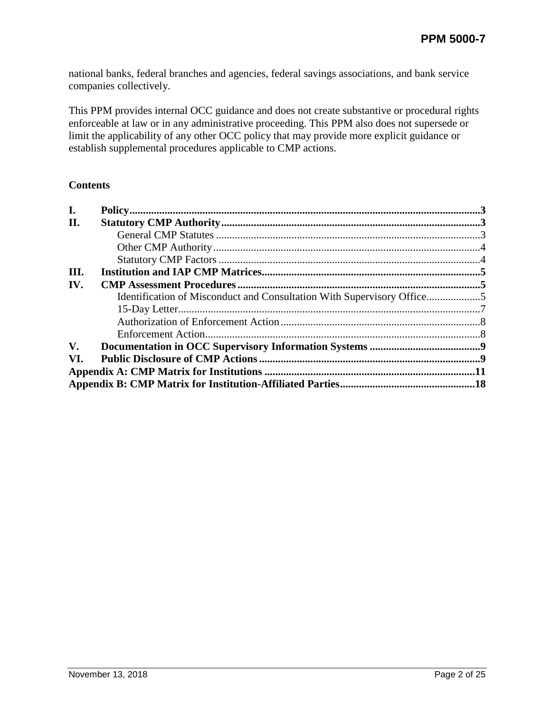national banks, federal branches and agencies, federal savings associations, and bank service companies collectively.

This PPM provides internal OCC guidance and does not create substantive or procedural rights enforceable at law or in any administrative proceeding. This PPM also does not supersede or limit the applicability of any other OCC policy that may provide more explicit guidance or establish supplemental procedures applicable to CMP actions.

#### **Contents**

| I.                     |                                                                        |  |  |  |  |
|------------------------|------------------------------------------------------------------------|--|--|--|--|
| II.                    |                                                                        |  |  |  |  |
|                        |                                                                        |  |  |  |  |
|                        |                                                                        |  |  |  |  |
|                        |                                                                        |  |  |  |  |
| III.                   |                                                                        |  |  |  |  |
| IV.                    |                                                                        |  |  |  |  |
|                        | Identification of Misconduct and Consultation With Supervisory Office5 |  |  |  |  |
|                        |                                                                        |  |  |  |  |
|                        |                                                                        |  |  |  |  |
|                        |                                                                        |  |  |  |  |
| $\mathbf{V}_{\bullet}$ |                                                                        |  |  |  |  |
| VI.                    |                                                                        |  |  |  |  |
|                        |                                                                        |  |  |  |  |
|                        |                                                                        |  |  |  |  |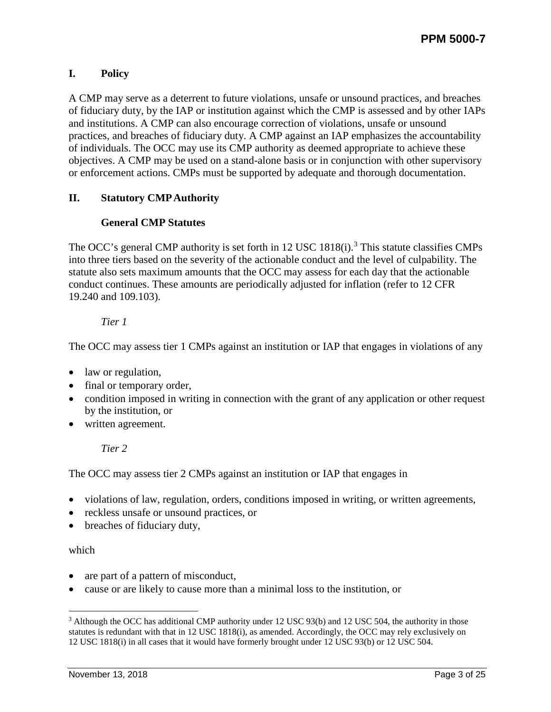# <span id="page-2-0"></span>**I. Policy**

A CMP may serve as a deterrent to future violations, unsafe or unsound practices, and breaches of fiduciary duty, by the IAP or institution against which the CMP is assessed and by other IAPs and institutions. A CMP can also encourage correction of violations, unsafe or unsound practices, and breaches of fiduciary duty. A CMP against an IAP emphasizes the accountability of individuals. The OCC may use its CMP authority as deemed appropriate to achieve these objectives. A CMP may be used on a stand-alone basis or in conjunction with other supervisory or enforcement actions. CMPs must be supported by adequate and thorough documentation.

## <span id="page-2-2"></span><span id="page-2-1"></span>**II. Statutory CMP Authority**

## **General CMP Statutes**

The OCC's general CMP authority is set forth in 12 USC  $1818(i)$ .<sup>[3](#page-2-3)</sup> This statute classifies CMPs into three tiers based on the severity of the actionable conduct and the level of culpability. The statute also sets maximum amounts that the OCC may assess for each day that the actionable conduct continues. These amounts are periodically adjusted for inflation (refer to 12 CFR 19.240 and 109.103).

## *Tier 1*

The OCC may assess tier 1 CMPs against an institution or IAP that engages in violations of any

- law or regulation,
- final or temporary order,
- condition imposed in writing in connection with the grant of any application or other request by the institution, or
- written agreement.

#### *Tier 2*

The OCC may assess tier 2 CMPs against an institution or IAP that engages in

- violations of law, regulation, orders, conditions imposed in writing, or written agreements,
- reckless unsafe or unsound practices, or
- breaches of fiduciary duty,

#### which

- are part of a pattern of misconduct,
- cause or are likely to cause more than a minimal loss to the institution, or

<span id="page-2-3"></span><sup>&</sup>lt;sup>3</sup> Although the OCC has additional CMP authority under 12 USC 93(b) and 12 USC 504, the authority in those statutes is redundant with that in 12 USC 1818(i), as amended. Accordingly, the OCC may rely exclusively on 12 USC 1818(i) in all cases that it would have formerly brought under 12 USC 93(b) or 12 USC 504.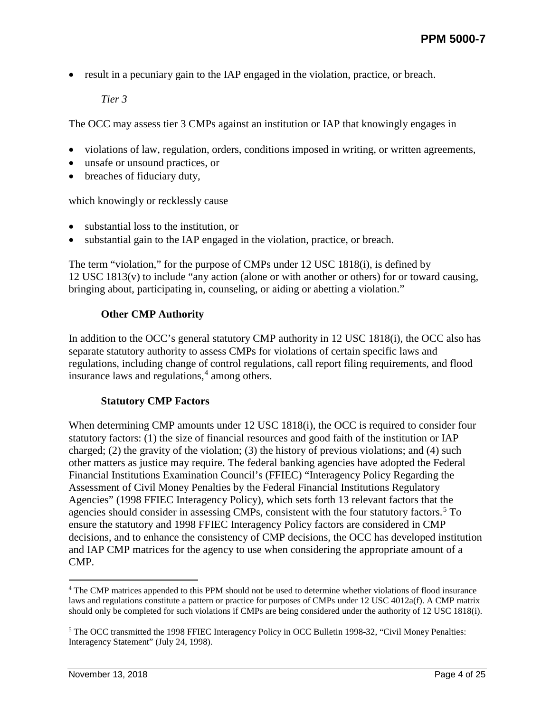• result in a pecuniary gain to the IAP engaged in the violation, practice, or breach.

*Tier 3*

The OCC may assess tier 3 CMPs against an institution or IAP that knowingly engages in

- violations of law, regulation, orders, conditions imposed in writing, or written agreements,
- unsafe or unsound practices, or
- breaches of fiduciary duty.

which knowingly or recklessly cause

- substantial loss to the institution, or
- substantial gain to the IAP engaged in the violation, practice, or breach.

The term "violation," for the purpose of CMPs under 12 USC 1818(i), is defined by 12 USC 1813(v) to include "any action (alone or with another or others) for or toward causing, bringing about, participating in, counseling, or aiding or abetting a violation."

#### **Other CMP Authority**

<span id="page-3-0"></span>In addition to the OCC's general statutory CMP authority in 12 USC 1818(i), the OCC also has separate statutory authority to assess CMPs for violations of certain specific laws and regulations, including change of control regulations, call report filing requirements, and flood insurance laws and regulations, $4$  among others.

#### **Statutory CMP Factors**

<span id="page-3-1"></span>When determining CMP amounts under 12 USC 1818(i), the OCC is required to consider four statutory factors: (1) the size of financial resources and good faith of the institution or IAP charged; (2) the gravity of the violation; (3) the history of previous violations; and (4) such other matters as justice may require. The federal banking agencies have adopted the Federal Financial Institutions Examination Council's (FFIEC) "Interagency Policy Regarding the Assessment of Civil Money Penalties by the Federal Financial Institutions Regulatory Agencies" (1998 FFIEC Interagency Policy), which sets forth 13 relevant factors that the agencies should consider in assessing CMPs, consistent with the four statutory factors.<sup>[5](#page-3-3)</sup> To ensure the statutory and 1998 FFIEC Interagency Policy factors are considered in CMP decisions, and to enhance the consistency of CMP decisions, the OCC has developed institution and IAP CMP matrices for the agency to use when considering the appropriate amount of a CMP.

<span id="page-3-2"></span> <sup>4</sup> The CMP matrices appended to this PPM should not be used to determine whether violations of flood insurance laws and regulations constitute a pattern or practice for purposes of CMPs under 12 USC 4012a(f). A CMP matrix should only be completed for such violations if CMPs are being considered under the authority of 12 USC 1818(i).

<span id="page-3-3"></span><sup>&</sup>lt;sup>5</sup> The OCC transmitted the 1998 FFIEC Interagency Policy in OCC Bulletin 1998-32, "Civil Money Penalties: Interagency Statement" (July 24, 1998).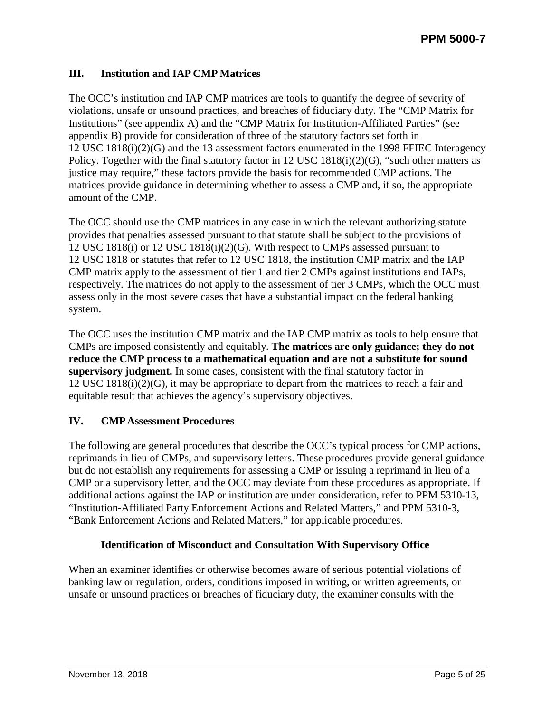### <span id="page-4-0"></span>**III. Institution and IAP CMP Matrices**

The OCC's institution and IAP CMP matrices are tools to quantify the degree of severity of violations, unsafe or unsound practices, and breaches of fiduciary duty. The "CMP Matrix for Institutions" (see appendix A) and the "CMP Matrix for Institution-Affiliated Parties" (see appendix B) provide for consideration of three of the statutory factors set forth in 12 USC 1818(i)(2)(G) and the 13 assessment factors enumerated in the 1998 FFIEC Interagency Policy. Together with the final statutory factor in 12 USC 1818(i)(2)(G), "such other matters as justice may require," these factors provide the basis for recommended CMP actions. The matrices provide guidance in determining whether to assess a CMP and, if so, the appropriate amount of the CMP.

The OCC should use the CMP matrices in any case in which the relevant authorizing statute provides that penalties assessed pursuant to that statute shall be subject to the provisions of 12 USC 1818(i) or 12 USC 1818(i)(2)(G). With respect to CMPs assessed pursuant to 12 USC 1818 or statutes that refer to 12 USC 1818, the institution CMP matrix and the IAP CMP matrix apply to the assessment of tier 1 and tier 2 CMPs against institutions and IAPs, respectively. The matrices do not apply to the assessment of tier 3 CMPs, which the OCC must assess only in the most severe cases that have a substantial impact on the federal banking system.

The OCC uses the institution CMP matrix and the IAP CMP matrix as tools to help ensure that CMPs are imposed consistently and equitably. **The matrices are only guidance; they do not reduce the CMP process to a mathematical equation and are not a substitute for sound supervisory judgment.** In some cases, consistent with the final statutory factor in 12 USC 1818(i)(2)(G), it may be appropriate to depart from the matrices to reach a fair and equitable result that achieves the agency's supervisory objectives.

#### <span id="page-4-1"></span>**IV. CMP Assessment Procedures**

The following are general procedures that describe the OCC's typical process for CMP actions, reprimands in lieu of CMPs, and supervisory letters. These procedures provide general guidance but do not establish any requirements for assessing a CMP or issuing a reprimand in lieu of a CMP or a supervisory letter, and the OCC may deviate from these procedures as appropriate. If additional actions against the IAP or institution are under consideration, refer to PPM 5310-13, "Institution-Affiliated Party Enforcement Actions and Related Matters," and PPM 5310-3, "Bank Enforcement Actions and Related Matters," for applicable procedures.

#### **Identification of Misconduct and Consultation With Supervisory Office**

<span id="page-4-2"></span>When an examiner identifies or otherwise becomes aware of serious potential violations of banking law or regulation, orders, conditions imposed in writing, or written agreements, or unsafe or unsound practices or breaches of fiduciary duty, the examiner consults with the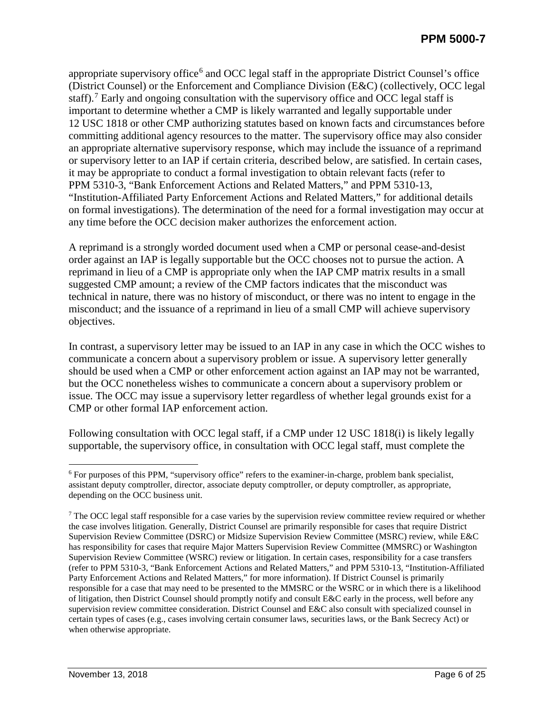appropriate supervisory office<sup> $6$ </sup> and OCC legal staff in the appropriate District Counsel's office (District Counsel) or the Enforcement and Compliance Division (E&C) (collectively, OCC legal staff).<sup>[7](#page-5-1)</sup> Early and ongoing consultation with the supervisory office and OCC legal staff is important to determine whether a CMP is likely warranted and legally supportable under 12 USC 1818 or other CMP authorizing statutes based on known facts and circumstances before committing additional agency resources to the matter. The supervisory office may also consider an appropriate alternative supervisory response, which may include the issuance of a reprimand or supervisory letter to an IAP if certain criteria, described below, are satisfied. In certain cases, it may be appropriate to conduct a formal investigation to obtain relevant facts (refer to PPM 5310-3, "Bank Enforcement Actions and Related Matters," and PPM 5310-13, "Institution-Affiliated Party Enforcement Actions and Related Matters," for additional details on formal investigations). The determination of the need for a formal investigation may occur at any time before the OCC decision maker authorizes the enforcement action.

A reprimand is a strongly worded document used when a CMP or personal cease-and-desist order against an IAP is legally supportable but the OCC chooses not to pursue the action. A reprimand in lieu of a CMP is appropriate only when the IAP CMP matrix results in a small suggested CMP amount; a review of the CMP factors indicates that the misconduct was technical in nature, there was no history of misconduct, or there was no intent to engage in the misconduct; and the issuance of a reprimand in lieu of a small CMP will achieve supervisory objectives.

In contrast, a supervisory letter may be issued to an IAP in any case in which the OCC wishes to communicate a concern about a supervisory problem or issue. A supervisory letter generally should be used when a CMP or other enforcement action against an IAP may not be warranted, but the OCC nonetheless wishes to communicate a concern about a supervisory problem or issue. The OCC may issue a supervisory letter regardless of whether legal grounds exist for a CMP or other formal IAP enforcement action.

Following consultation with OCC legal staff, if a CMP under 12 USC 1818(i) is likely legally supportable, the supervisory office, in consultation with OCC legal staff, must complete the

<span id="page-5-0"></span> <sup>6</sup> For purposes of this PPM, "supervisory office" refers to the examiner-in-charge, problem bank specialist, assistant deputy comptroller, director, associate deputy comptroller, or deputy comptroller, as appropriate, depending on the OCC business unit.

<span id="page-5-1"></span><sup>&</sup>lt;sup>7</sup> The OCC legal staff responsible for a case varies by the supervision review committee review required or whether the case involves litigation. Generally, District Counsel are primarily responsible for cases that require District Supervision Review Committee (DSRC) or Midsize Supervision Review Committee (MSRC) review, while E&C has responsibility for cases that require Major Matters Supervision Review Committee (MMSRC) or Washington Supervision Review Committee (WSRC) review or litigation. In certain cases, responsibility for a case transfers (refer to PPM 5310-3, "Bank Enforcement Actions and Related Matters," and PPM 5310-13, "Institution-Affiliated Party Enforcement Actions and Related Matters," for more information). If District Counsel is primarily responsible for a case that may need to be presented to the MMSRC or the WSRC or in which there is a likelihood of litigation, then District Counsel should promptly notify and consult E&C early in the process, well before any supervision review committee consideration. District Counsel and E&C also consult with specialized counsel in certain types of cases (e.g., cases involving certain consumer laws, securities laws, or the Bank Secrecy Act) or when otherwise appropriate.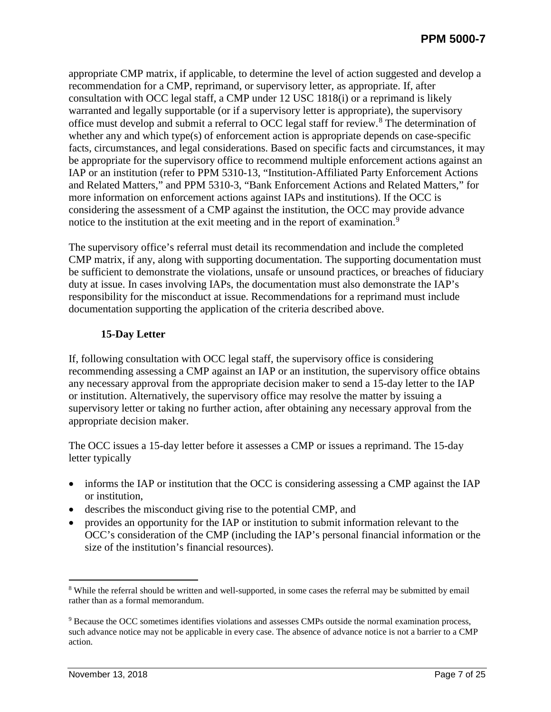appropriate CMP matrix, if applicable, to determine the level of action suggested and develop a recommendation for a CMP, reprimand, or supervisory letter, as appropriate. If, after consultation with OCC legal staff, a CMP under 12 USC 1818(i) or a reprimand is likely warranted and legally supportable (or if a supervisory letter is appropriate), the supervisory office must develop and submit a referral to OCC legal staff for review.[8](#page-6-1) The determination of whether any and which type(s) of enforcement action is appropriate depends on case-specific facts, circumstances, and legal considerations. Based on specific facts and circumstances, it may be appropriate for the supervisory office to recommend multiple enforcement actions against an IAP or an institution (refer to PPM 5310-13, "Institution-Affiliated Party Enforcement Actions and Related Matters," and PPM 5310-3, "Bank Enforcement Actions and Related Matters," for more information on enforcement actions against IAPs and institutions). If the OCC is considering the assessment of a CMP against the institution, the OCC may provide advance notice to the institution at the exit meeting and in the report of examination.<sup>[9](#page-6-2)</sup>

The supervisory office's referral must detail its recommendation and include the completed CMP matrix, if any, along with supporting documentation. The supporting documentation must be sufficient to demonstrate the violations, unsafe or unsound practices, or breaches of fiduciary duty at issue. In cases involving IAPs, the documentation must also demonstrate the IAP's responsibility for the misconduct at issue. Recommendations for a reprimand must include documentation supporting the application of the criteria described above.

### **15-Day Letter**

<span id="page-6-0"></span>If, following consultation with OCC legal staff, the supervisory office is considering recommending assessing a CMP against an IAP or an institution, the supervisory office obtains any necessary approval from the appropriate decision maker to send a 15-day letter to the IAP or institution. Alternatively, the supervisory office may resolve the matter by issuing a supervisory letter or taking no further action, after obtaining any necessary approval from the appropriate decision maker.

The OCC issues a 15-day letter before it assesses a CMP or issues a reprimand. The 15-day letter typically

- informs the IAP or institution that the OCC is considering assessing a CMP against the IAP or institution,
- describes the misconduct giving rise to the potential CMP, and
- provides an opportunity for the IAP or institution to submit information relevant to the OCC's consideration of the CMP (including the IAP's personal financial information or the size of the institution's financial resources).

<span id="page-6-1"></span><sup>&</sup>lt;sup>8</sup> While the referral should be written and well-supported, in some cases the referral may be submitted by email rather than as a formal memorandum.

<span id="page-6-2"></span><sup>9</sup> Because the OCC sometimes identifies violations and assesses CMPs outside the normal examination process, such advance notice may not be applicable in every case. The absence of advance notice is not a barrier to a CMP action.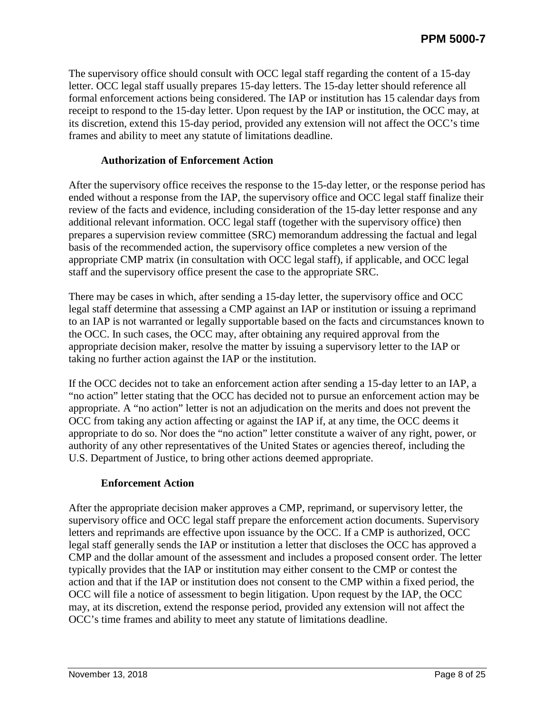The supervisory office should consult with OCC legal staff regarding the content of a 15-day letter. OCC legal staff usually prepares 15-day letters. The 15-day letter should reference all formal enforcement actions being considered. The IAP or institution has 15 calendar days from receipt to respond to the 15-day letter. Upon request by the IAP or institution, the OCC may, at its discretion, extend this 15-day period, provided any extension will not affect the OCC's time frames and ability to meet any statute of limitations deadline.

#### **Authorization of Enforcement Action**

<span id="page-7-0"></span>After the supervisory office receives the response to the 15-day letter, or the response period has ended without a response from the IAP, the supervisory office and OCC legal staff finalize their review of the facts and evidence, including consideration of the 15-day letter response and any additional relevant information. OCC legal staff (together with the supervisory office) then prepares a supervision review committee (SRC) memorandum addressing the factual and legal basis of the recommended action, the supervisory office completes a new version of the appropriate CMP matrix (in consultation with OCC legal staff), if applicable, and OCC legal staff and the supervisory office present the case to the appropriate SRC.

There may be cases in which, after sending a 15-day letter, the supervisory office and OCC legal staff determine that assessing a CMP against an IAP or institution or issuing a reprimand to an IAP is not warranted or legally supportable based on the facts and circumstances known to the OCC. In such cases, the OCC may, after obtaining any required approval from the appropriate decision maker, resolve the matter by issuing a supervisory letter to the IAP or taking no further action against the IAP or the institution.

If the OCC decides not to take an enforcement action after sending a 15-day letter to an IAP, a "no action" letter stating that the OCC has decided not to pursue an enforcement action may be appropriate. A "no action" letter is not an adjudication on the merits and does not prevent the OCC from taking any action affecting or against the IAP if, at any time, the OCC deems it appropriate to do so. Nor does the "no action" letter constitute a waiver of any right, power, or authority of any other representatives of the United States or agencies thereof, including the U.S. Department of Justice, to bring other actions deemed appropriate.

#### **Enforcement Action**

<span id="page-7-1"></span>After the appropriate decision maker approves a CMP, reprimand, or supervisory letter, the supervisory office and OCC legal staff prepare the enforcement action documents. Supervisory letters and reprimands are effective upon issuance by the OCC. If a CMP is authorized, OCC legal staff generally sends the IAP or institution a letter that discloses the OCC has approved a CMP and the dollar amount of the assessment and includes a proposed consent order. The letter typically provides that the IAP or institution may either consent to the CMP or contest the action and that if the IAP or institution does not consent to the CMP within a fixed period, the OCC will file a notice of assessment to begin litigation. Upon request by the IAP, the OCC may, at its discretion, extend the response period, provided any extension will not affect the OCC's time frames and ability to meet any statute of limitations deadline.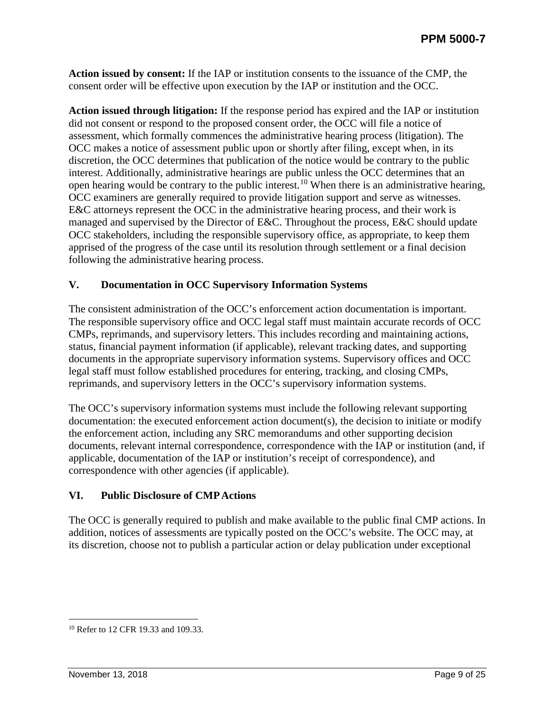**Action issued by consent:** If the IAP or institution consents to the issuance of the CMP, the consent order will be effective upon execution by the IAP or institution and the OCC.

**Action issued through litigation:** If the response period has expired and the IAP or institution did not consent or respond to the proposed consent order, the OCC will file a notice of assessment, which formally commences the administrative hearing process (litigation). The OCC makes a notice of assessment public upon or shortly after filing, except when, in its discretion, the OCC determines that publication of the notice would be contrary to the public interest. Additionally, administrative hearings are public unless the OCC determines that an open hearing would be contrary to the public interest.[10](#page-8-2) When there is an administrative hearing, OCC examiners are generally required to provide litigation support and serve as witnesses. E&C attorneys represent the OCC in the administrative hearing process, and their work is managed and supervised by the Director of E&C. Throughout the process, E&C should update OCC stakeholders, including the responsible supervisory office, as appropriate, to keep them apprised of the progress of the case until its resolution through settlement or a final decision following the administrative hearing process.

#### <span id="page-8-0"></span>**V. Documentation in OCC Supervisory Information Systems**

The consistent administration of the OCC's enforcement action documentation is important. The responsible supervisory office and OCC legal staff must maintain accurate records of OCC CMPs, reprimands, and supervisory letters. This includes recording and maintaining actions, status, financial payment information (if applicable), relevant tracking dates, and supporting documents in the appropriate supervisory information systems. Supervisory offices and OCC legal staff must follow established procedures for entering, tracking, and closing CMPs, reprimands, and supervisory letters in the OCC's supervisory information systems.

The OCC's supervisory information systems must include the following relevant supporting documentation: the executed enforcement action document(s), the decision to initiate or modify the enforcement action, including any SRC memorandums and other supporting decision documents, relevant internal correspondence, correspondence with the IAP or institution (and, if applicable, documentation of the IAP or institution's receipt of correspondence), and correspondence with other agencies (if applicable).

#### <span id="page-8-1"></span>**VI. Public Disclosure of CMP Actions**

The OCC is generally required to publish and make available to the public final CMP actions. In addition, notices of assessments are typically posted on the OCC's website. The OCC may, at its discretion, choose not to publish a particular action or delay publication under exceptional

<span id="page-8-2"></span><sup>&</sup>lt;sup>10</sup> Refer to 12 CFR 19.33 and 109.33.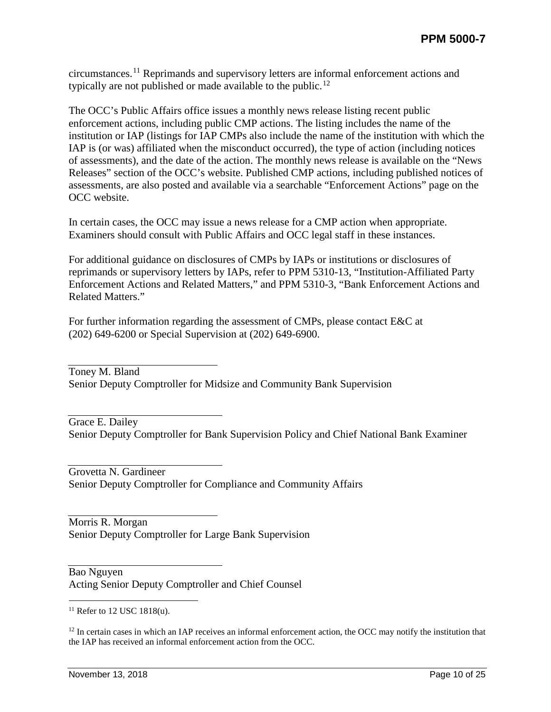circumstances.[11](#page-9-0) Reprimands and supervisory letters are informal enforcement actions and typically are not published or made available to the public.<sup>[12](#page-9-1)</sup>

The OCC's Public Affairs office issues a monthly news release listing recent public enforcement actions, including public CMP actions. The listing includes the name of the institution or IAP (listings for IAP CMPs also include the name of the institution with which the IAP is (or was) affiliated when the misconduct occurred), the type of action (including notices of assessments), and the date of the action. The monthly news release is available on the "News Releases" section of the OCC's website. Published CMP actions, including published notices of assessments, are also posted and available via a searchable "Enforcement Actions" page on the OCC website.

In certain cases, the OCC may issue a news release for a CMP action when appropriate. Examiners should consult with Public Affairs and OCC legal staff in these instances.

For additional guidance on disclosures of CMPs by IAPs or institutions or disclosures of reprimands or supervisory letters by IAPs, refer to PPM 5310-13, "Institution-Affiliated Party Enforcement Actions and Related Matters," and PPM 5310-3, "Bank Enforcement Actions and Related Matters."

For further information regarding the assessment of CMPs, please contact E&C at (202) 649-6200 or Special Supervision at (202) 649-6900.

Toney M. Bland Senior Deputy Comptroller for Midsize and Community Bank Supervision

Grace E. Dailey Senior Deputy Comptroller for Bank Supervision Policy and Chief National Bank Examiner

Grovetta N. Gardineer Senior Deputy Comptroller for Compliance and Community Affairs

Morris R. Morgan Senior Deputy Comptroller for Large Bank Supervision

Bao Nguyen Acting Senior Deputy Comptroller and Chief Counsel

<span id="page-9-1"></span> $12$  In certain cases in which an IAP receives an informal enforcement action, the OCC may notify the institution that the IAP has received an informal enforcement action from the OCC.

<span id="page-9-0"></span> $11$  Refer to 12 USC 1818(u).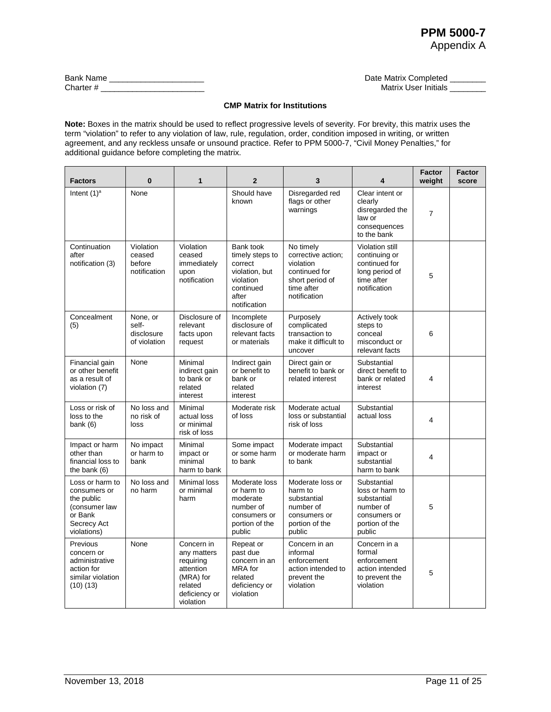| <b>Bank Name</b> | Date Matrix Completed |
|------------------|-----------------------|
| Charter #        | Matrix User Initials  |

#### **CMP Matrix for Institutions**

**Note:** Boxes in the matrix should be used to reflect progressive levels of severity. For brevity, this matrix uses the term "violation" to refer to any violation of law, rule, regulation, order, condition imposed in writing, or written agreement, and any reckless unsafe or unsound practice. Refer to PPM 5000-7, "Civil Money Penalties," for additional guidance before completing the matrix.

| <b>Factors</b>                                                                                          | $\bf{0}$                                        | 1                                                                                                         | $\overline{2}$                                                                                               | 3                                                                                                              | 4                                                                                                      | <b>Factor</b><br>weight | <b>Factor</b><br>score |
|---------------------------------------------------------------------------------------------------------|-------------------------------------------------|-----------------------------------------------------------------------------------------------------------|--------------------------------------------------------------------------------------------------------------|----------------------------------------------------------------------------------------------------------------|--------------------------------------------------------------------------------------------------------|-------------------------|------------------------|
| Intent $(1)^a$                                                                                          | None                                            |                                                                                                           | Should have<br>known                                                                                         | Disregarded red<br>flags or other<br>warnings                                                                  | Clear intent or<br>clearly<br>disregarded the<br>law or<br>consequences<br>to the bank                 | $\overline{7}$          |                        |
| Continuation<br>after<br>notification (3)                                                               | Violation<br>ceased<br>before<br>notification   | Violation<br>ceased<br>immediately<br>upon<br>notification                                                | Bank took<br>timely steps to<br>correct<br>violation, but<br>violation<br>continued<br>after<br>notification | No timely<br>corrective action;<br>violation<br>continued for<br>short period of<br>time after<br>notification | Violation still<br>continuing or<br>continued for<br>long period of<br>time after<br>notification      | 5                       |                        |
| Concealment<br>(5)                                                                                      | None, or<br>self-<br>disclosure<br>of violation | Disclosure of<br>relevant<br>facts upon<br>request                                                        | Incomplete<br>disclosure of<br>relevant facts<br>or materials                                                | Purposely<br>complicated<br>transaction to<br>make it difficult to<br>uncover                                  | Actively took<br>steps to<br>conceal<br>misconduct or<br>relevant facts                                | 6                       |                        |
| Financial gain<br>or other benefit<br>as a result of<br>violation (7)                                   | None                                            | Minimal<br>indirect gain<br>to bank or<br>related<br>interest                                             | Indirect gain<br>or benefit to<br>bank or<br>related<br>interest                                             | Direct gain or<br>benefit to bank or<br>related interest                                                       | Substantial<br>direct benefit to<br>bank or related<br>interest                                        | $\overline{\mathbf{4}}$ |                        |
| Loss or risk of<br>loss to the<br>bank $(6)$                                                            | No loss and<br>no risk of<br>loss               | Minimal<br>actual loss<br>or minimal<br>risk of loss                                                      | Moderate risk<br>of loss                                                                                     | Moderate actual<br>loss or substantial<br>risk of loss                                                         | Substantial<br>actual loss                                                                             | 4                       |                        |
| Impact or harm<br>other than<br>financial loss to<br>the bank $(6)$                                     | No impact<br>or harm to<br>bank                 | Minimal<br>impact or<br>minimal<br>harm to bank                                                           | Some impact<br>or some harm<br>to bank                                                                       | Moderate impact<br>or moderate harm<br>to bank                                                                 | Substantial<br>impact or<br>substantial<br>harm to bank                                                | 4                       |                        |
| Loss or harm to<br>consumers or<br>the public<br>(consumer law<br>or Bank<br>Secrecy Act<br>violations) | No loss and<br>no harm                          | Minimal loss<br>or minimal<br>harm                                                                        | Moderate loss<br>or harm to<br>moderate<br>number of<br>consumers or<br>portion of the<br>public             | Moderate loss or<br>harm to<br>substantial<br>number of<br>consumers or<br>portion of the<br>public            | Substantial<br>loss or harm to<br>substantial<br>number of<br>consumers or<br>portion of the<br>public | 5                       |                        |
| Previous<br>concern or<br>administrative<br>action for<br>similar violation<br>(10)(13)                 | None                                            | Concern in<br>any matters<br>requiring<br>attention<br>(MRA) for<br>related<br>deficiency or<br>violation | Repeat or<br>past due<br>concern in an<br>MRA for<br>related<br>deficiency or<br>violation                   | Concern in an<br>informal<br>enforcement<br>action intended to<br>prevent the<br>violation                     | Concern in a<br>formal<br>enforcement<br>action intended<br>to prevent the<br>violation                | 5                       |                        |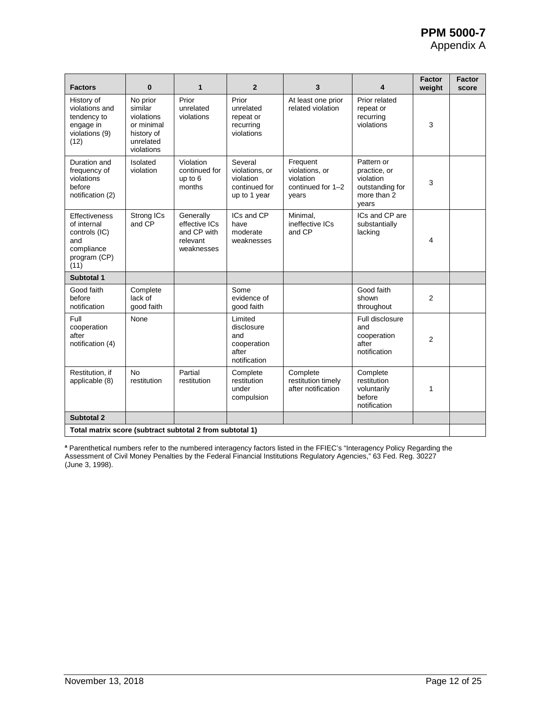# **PPM 5000-7**

Appendix A

| <b>Factors</b>                                                                             | $\bf{0}$                                                                                 | 1                                                                   | $\overline{2}$                                                          | 3                                                                     | 4                                                                                  | <b>Factor</b><br>weight | <b>Factor</b><br>score |
|--------------------------------------------------------------------------------------------|------------------------------------------------------------------------------------------|---------------------------------------------------------------------|-------------------------------------------------------------------------|-----------------------------------------------------------------------|------------------------------------------------------------------------------------|-------------------------|------------------------|
| History of<br>violations and<br>tendency to<br>engage in<br>violations (9)<br>(12)         | No prior<br>similar<br>violations<br>or minimal<br>history of<br>unrelated<br>violations | Prior<br>unrelated<br>violations                                    | Prior<br>unrelated<br>repeat or<br>recurring<br>violations              | At least one prior<br>related violation                               | Prior related<br>repeat or<br>recurring<br>violations                              | 3                       |                        |
| Duration and<br>frequency of<br>violations<br>before<br>notification (2)                   | Isolated<br>violation                                                                    | Violation<br>continued for<br>up to 6<br>months                     | Several<br>violations, or<br>violation<br>continued for<br>up to 1 year | Frequent<br>violations, or<br>violation<br>continued for 1-2<br>vears | Pattern or<br>practice, or<br>violation<br>outstanding for<br>more than 2<br>years | 3                       |                        |
| Effectiveness<br>of internal<br>controls (IC)<br>and<br>compliance<br>program (CP)<br>(11) | Strong ICs<br>and CP                                                                     | Generally<br>effective ICs<br>and CP with<br>relevant<br>weaknesses | ICs and CP<br>have<br>moderate<br>weaknesses                            | Minimal.<br>ineffective ICs<br>and CP                                 | ICs and CP are<br>substantially<br>lacking                                         | 4                       |                        |
| Subtotal 1                                                                                 |                                                                                          |                                                                     |                                                                         |                                                                       |                                                                                    |                         |                        |
| Good faith<br>before<br>notification                                                       | Complete<br>lack of<br>good faith                                                        |                                                                     | Some<br>evidence of<br>good faith                                       |                                                                       | Good faith<br>shown<br>throughout                                                  | 2                       |                        |
| Full<br>cooperation<br>after<br>notification (4)                                           | None                                                                                     |                                                                     | Limited<br>disclosure<br>and<br>cooperation<br>after<br>notification    |                                                                       | Full disclosure<br>and<br>cooperation<br>after<br>notification                     | $\overline{2}$          |                        |
| Restitution, if<br>applicable (8)                                                          | <b>No</b><br>restitution                                                                 | Partial<br>restitution                                              | Complete<br>restitution<br>under<br>compulsion                          | Complete<br>restitution timely<br>after notification                  | Complete<br>restitution<br>voluntarily<br>before<br>notification                   | 1                       |                        |
| Subtotal 2                                                                                 |                                                                                          |                                                                     |                                                                         |                                                                       |                                                                                    |                         |                        |
| Total matrix score (subtract subtotal 2 from subtotal 1)                                   |                                                                                          |                                                                     |                                                                         |                                                                       |                                                                                    |                         |                        |

**<sup>a</sup>** Parenthetical numbers refer to the numbered interagency factors listed in the FFIEC's "Interagency Policy Regarding the Assessment of Civil Money Penalties by the Federal Financial Institutions Regulatory Agencies," 63 Fed. Reg. 30227 (June 3, 1998).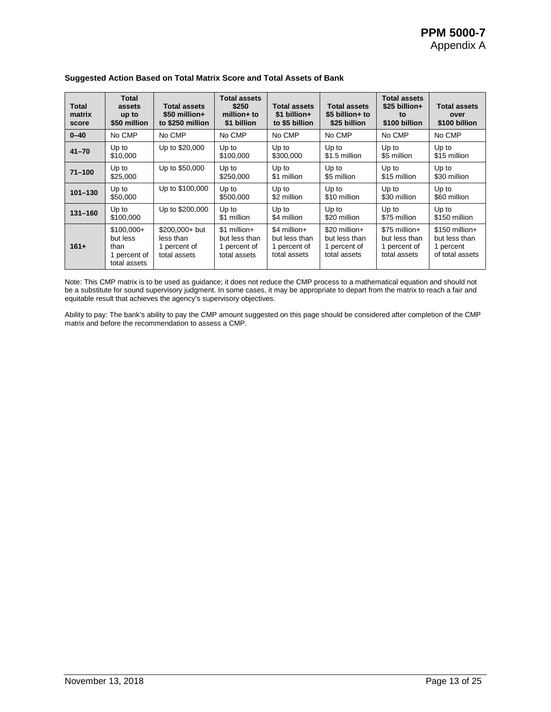| Total<br>matrix<br>score | Total<br>assets<br>up to<br>\$50 million                        | <b>Total assets</b><br>$$50$ million+<br>to \$250 million    | <b>Total assets</b><br>\$250<br>$m$ illion $+$ to<br>\$1 billion | <b>Total assets</b><br>\$1 billion+<br>to \$5 billion         | <b>Total assets</b><br>\$5 billion+ to<br>\$25 billion         | <b>Total assets</b><br>$$25$ billion+<br>to<br>\$100 billion   | <b>Total assets</b><br>over<br>\$100 billion                     |
|--------------------------|-----------------------------------------------------------------|--------------------------------------------------------------|------------------------------------------------------------------|---------------------------------------------------------------|----------------------------------------------------------------|----------------------------------------------------------------|------------------------------------------------------------------|
| $0 - 40$                 | No CMP                                                          | No CMP                                                       | No CMP                                                           | No CMP                                                        | No CMP                                                         | No CMP                                                         | No CMP                                                           |
| $41 - 70$                | Up to<br>\$10,000                                               | Up to \$20,000                                               | Up to<br>\$100,000                                               | Up to<br>\$300,000                                            | Up to<br>\$1.5 million                                         | Up to<br>\$5 million                                           | Up to<br>\$15 million                                            |
| $71 - 100$               | Up to<br>\$25,000                                               | Up to \$50,000                                               | Up to<br>\$250,000                                               | Up to<br>\$1 million                                          | Up to<br>\$5 million                                           | Up to<br>\$15 million                                          | Up to<br>\$30 million                                            |
| $101 - 130$              | Up to<br>\$50,000                                               | Up to \$100,000                                              | Up to<br>\$500,000                                               | Up to<br>\$2 million                                          | Up to<br>\$10 million                                          | Up to<br>\$30 million                                          | Up to<br>\$60 million                                            |
| $131 - 160$              | Up to<br>\$100,000                                              | Up to \$200,000                                              | Up to<br>\$1 million                                             | Up to<br>\$4 million                                          | Up to<br>\$20 million                                          | Up to<br>\$75 million                                          | Up to<br>\$150 million                                           |
| $161+$                   | $$100,000+$<br>but less<br>than<br>1 percent of<br>total assets | $$200,000+$ but<br>less than<br>1 percent of<br>total assets | $$1$ million +<br>but less than<br>1 percent of<br>total assets  | \$4 million+<br>but less than<br>1 percent of<br>total assets | \$20 million+<br>but less than<br>1 percent of<br>total assets | \$75 million+<br>but less than<br>1 percent of<br>total assets | $$150$ million+<br>but less than<br>1 percent<br>of total assets |

#### **Suggested Action Based on Total Matrix Score and Total Assets of Bank**

Note: This CMP matrix is to be used as guidance; it does not reduce the CMP process to a mathematical equation and should not be a substitute for sound supervisory judgment. In some cases, it may be appropriate to depart from the matrix to reach a fair and equitable result that achieves the agency's supervisory objectives.

Ability to pay: The bank's ability to pay the CMP amount suggested on this page should be considered after completion of the CMP matrix and before the recommendation to assess a CMP.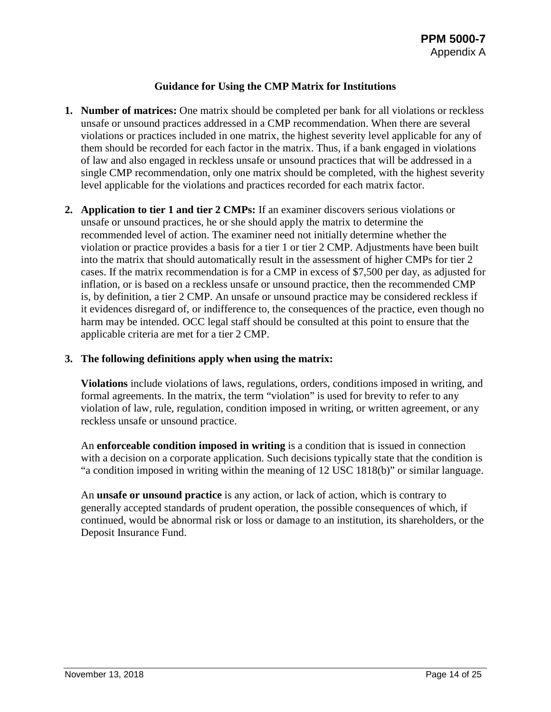#### **Guidance for Using the CMP Matrix for Institutions**

- **1. Number of matrices:** One matrix should be completed per bank for all violations or reckless unsafe or unsound practices addressed in a CMP recommendation. When there are several violations or practices included in one matrix, the highest severity level applicable for any of them should be recorded for each factor in the matrix. Thus, if a bank engaged in violations of law and also engaged in reckless unsafe or unsound practices that will be addressed in a single CMP recommendation, only one matrix should be completed, with the highest severity level applicable for the violations and practices recorded for each matrix factor.
- **2. Application to tier 1 and tier 2 CMPs:** If an examiner discovers serious violations or unsafe or unsound practices, he or she should apply the matrix to determine the recommended level of action. The examiner need not initially determine whether the violation or practice provides a basis for a tier 1 or tier 2 CMP. Adjustments have been built into the matrix that should automatically result in the assessment of higher CMPs for tier 2 cases. If the matrix recommendation is for a CMP in excess of \$7,500 per day, as adjusted for inflation, or is based on a reckless unsafe or unsound practice, then the recommended CMP is, by definition, a tier 2 CMP. An unsafe or unsound practice may be considered reckless if it evidences disregard of, or indifference to, the consequences of the practice, even though no harm may be intended. OCC legal staff should be consulted at this point to ensure that the applicable criteria are met for a tier 2 CMP.

#### **3. The following definitions apply when using the matrix:**

**Violations** include violations of laws, regulations, orders, conditions imposed in writing, and formal agreements. In the matrix, the term "violation" is used for brevity to refer to any violation of law, rule, regulation, condition imposed in writing, or written agreement, or any reckless unsafe or unsound practice.

An **enforceable condition imposed in writing** is a condition that is issued in connection with a decision on a corporate application. Such decisions typically state that the condition is "a condition imposed in writing within the meaning of 12 USC 1818(b)" or similar language.

An **unsafe or unsound practice** is any action, or lack of action, which is contrary to generally accepted standards of prudent operation, the possible consequences of which, if continued, would be abnormal risk or loss or damage to an institution, its shareholders, or the Deposit Insurance Fund.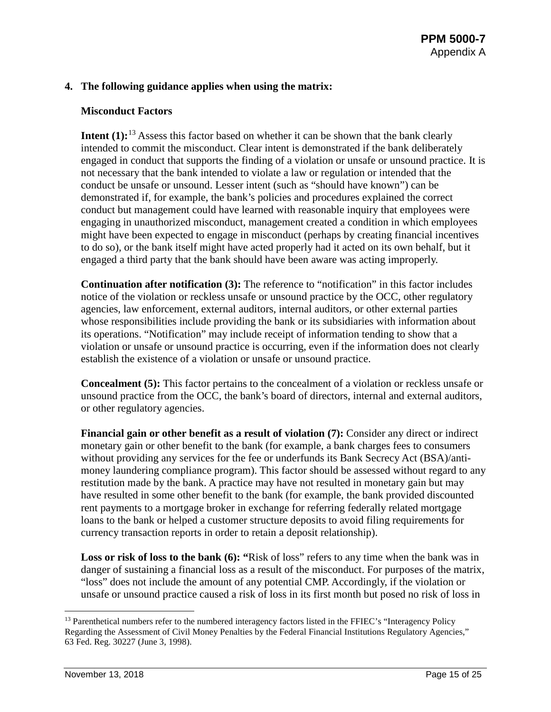#### **4. The following guidance applies when using the matrix:**

#### **Misconduct Factors**

**Intent (1):**<sup>[13](#page-14-0)</sup> Assess this factor based on whether it can be shown that the bank clearly intended to commit the misconduct. Clear intent is demonstrated if the bank deliberately engaged in conduct that supports the finding of a violation or unsafe or unsound practice. It is not necessary that the bank intended to violate a law or regulation or intended that the conduct be unsafe or unsound. Lesser intent (such as "should have known") can be demonstrated if, for example, the bank's policies and procedures explained the correct conduct but management could have learned with reasonable inquiry that employees were engaging in unauthorized misconduct, management created a condition in which employees might have been expected to engage in misconduct (perhaps by creating financial incentives to do so), or the bank itself might have acted properly had it acted on its own behalf, but it engaged a third party that the bank should have been aware was acting improperly.

**Continuation after notification (3):** The reference to "notification" in this factor includes notice of the violation or reckless unsafe or unsound practice by the OCC, other regulatory agencies, law enforcement, external auditors, internal auditors, or other external parties whose responsibilities include providing the bank or its subsidiaries with information about its operations. "Notification" may include receipt of information tending to show that a violation or unsafe or unsound practice is occurring, even if the information does not clearly establish the existence of a violation or unsafe or unsound practice.

**Concealment (5):** This factor pertains to the concealment of a violation or reckless unsafe or unsound practice from the OCC, the bank's board of directors, internal and external auditors, or other regulatory agencies.

**Financial gain or other benefit as a result of violation (7):** Consider any direct or indirect monetary gain or other benefit to the bank (for example, a bank charges fees to consumers without providing any services for the fee or underfunds its Bank Secrecy Act (BSA)/antimoney laundering compliance program). This factor should be assessed without regard to any restitution made by the bank. A practice may have not resulted in monetary gain but may have resulted in some other benefit to the bank (for example, the bank provided discounted rent payments to a mortgage broker in exchange for referring federally related mortgage loans to the bank or helped a customer structure deposits to avoid filing requirements for currency transaction reports in order to retain a deposit relationship).

Loss or risk of loss to the bank (6): "Risk of loss" refers to any time when the bank was in danger of sustaining a financial loss as a result of the misconduct. For purposes of the matrix, "loss" does not include the amount of any potential CMP. Accordingly, if the violation or unsafe or unsound practice caused a risk of loss in its first month but posed no risk of loss in

<span id="page-14-0"></span><sup>&</sup>lt;sup>13</sup> Parenthetical numbers refer to the numbered interagency factors listed in the FFIEC's "Interagency Policy Regarding the Assessment of Civil Money Penalties by the Federal Financial Institutions Regulatory Agencies," 63 Fed. Reg. 30227 (June 3, 1998).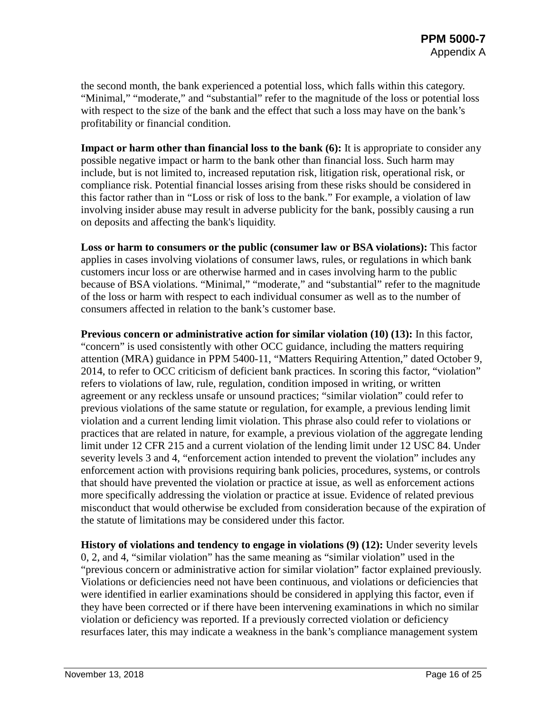the second month, the bank experienced a potential loss, which falls within this category. "Minimal," "moderate," and "substantial" refer to the magnitude of the loss or potential loss with respect to the size of the bank and the effect that such a loss may have on the bank's profitability or financial condition.

**Impact or harm other than financial loss to the bank (6):** It is appropriate to consider any possible negative impact or harm to the bank other than financial loss. Such harm may include, but is not limited to, increased reputation risk, litigation risk, operational risk, or compliance risk. Potential financial losses arising from these risks should be considered in this factor rather than in "Loss or risk of loss to the bank." For example, a violation of law involving insider abuse may result in adverse publicity for the bank, possibly causing a run on deposits and affecting the bank's liquidity.

**Loss or harm to consumers or the public (consumer law or BSA violations):** This factor applies in cases involving violations of consumer laws, rules, or regulations in which bank customers incur loss or are otherwise harmed and in cases involving harm to the public because of BSA violations. "Minimal," "moderate," and "substantial" refer to the magnitude of the loss or harm with respect to each individual consumer as well as to the number of consumers affected in relation to the bank's customer base.

**Previous concern or administrative action for similar violation (10) (13):** In this factor, "concern" is used consistently with other OCC guidance, including the matters requiring attention (MRA) guidance in PPM 5400-11, "Matters Requiring Attention," dated October 9, 2014, to refer to OCC criticism of deficient bank practices. In scoring this factor, "violation" refers to violations of law, rule, regulation, condition imposed in writing, or written agreement or any reckless unsafe or unsound practices; "similar violation" could refer to previous violations of the same statute or regulation, for example, a previous lending limit violation and a current lending limit violation. This phrase also could refer to violations or practices that are related in nature, for example, a previous violation of the aggregate lending limit under 12 CFR 215 and a current violation of the lending limit under 12 USC 84. Under severity levels 3 and 4, "enforcement action intended to prevent the violation" includes any enforcement action with provisions requiring bank policies, procedures, systems, or controls that should have prevented the violation or practice at issue, as well as enforcement actions more specifically addressing the violation or practice at issue. Evidence of related previous misconduct that would otherwise be excluded from consideration because of the expiration of the statute of limitations may be considered under this factor.

**History of violations and tendency to engage in violations (9) (12):** Under severity levels 0, 2, and 4, "similar violation" has the same meaning as "similar violation" used in the "previous concern or administrative action for similar violation" factor explained previously. Violations or deficiencies need not have been continuous, and violations or deficiencies that were identified in earlier examinations should be considered in applying this factor, even if they have been corrected or if there have been intervening examinations in which no similar violation or deficiency was reported. If a previously corrected violation or deficiency resurfaces later, this may indicate a weakness in the bank's compliance management system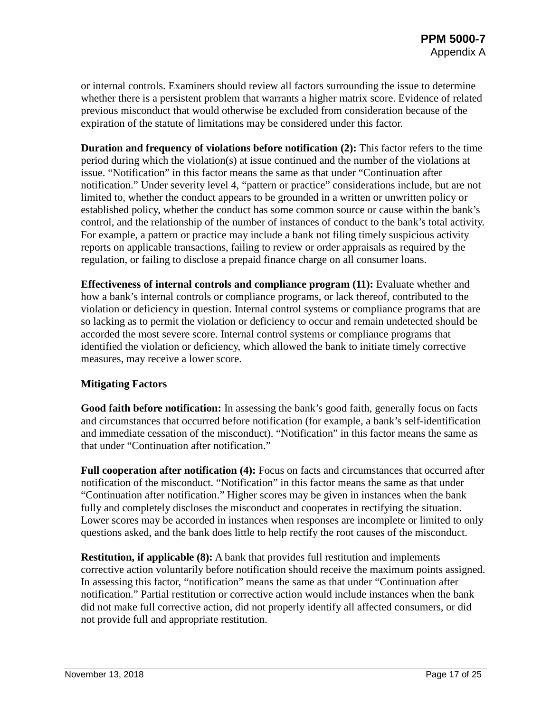or internal controls. Examiners should review all factors surrounding the issue to determine whether there is a persistent problem that warrants a higher matrix score. Evidence of related previous misconduct that would otherwise be excluded from consideration because of the expiration of the statute of limitations may be considered under this factor.

**Duration and frequency of violations before notification (2):** This factor refers to the time period during which the violation(s) at issue continued and the number of the violations at issue. "Notification" in this factor means the same as that under "Continuation after notification." Under severity level 4, "pattern or practice" considerations include, but are not limited to, whether the conduct appears to be grounded in a written or unwritten policy or established policy, whether the conduct has some common source or cause within the bank's control, and the relationship of the number of instances of conduct to the bank's total activity. For example, a pattern or practice may include a bank not filing timely suspicious activity reports on applicable transactions, failing to review or order appraisals as required by the regulation, or failing to disclose a prepaid finance charge on all consumer loans.

**Effectiveness of internal controls and compliance program (11):** Evaluate whether and how a bank's internal controls or compliance programs, or lack thereof, contributed to the violation or deficiency in question. Internal control systems or compliance programs that are so lacking as to permit the violation or deficiency to occur and remain undetected should be accorded the most severe score. Internal control systems or compliance programs that identified the violation or deficiency, which allowed the bank to initiate timely corrective measures, may receive a lower score.

#### **Mitigating Factors**

**Good faith before notification:** In assessing the bank's good faith, generally focus on facts and circumstances that occurred before notification (for example, a bank's self-identification and immediate cessation of the misconduct). "Notification" in this factor means the same as that under "Continuation after notification."

**Full cooperation after notification (4):** Focus on facts and circumstances that occurred after notification of the misconduct. "Notification" in this factor means the same as that under "Continuation after notification." Higher scores may be given in instances when the bank fully and completely discloses the misconduct and cooperates in rectifying the situation. Lower scores may be accorded in instances when responses are incomplete or limited to only questions asked, and the bank does little to help rectify the root causes of the misconduct.

**Restitution, if applicable (8):** A bank that provides full restitution and implements corrective action voluntarily before notification should receive the maximum points assigned. In assessing this factor, "notification" means the same as that under "Continuation after notification." Partial restitution or corrective action would include instances when the bank did not make full corrective action, did not properly identify all affected consumers, or did not provide full and appropriate restitution.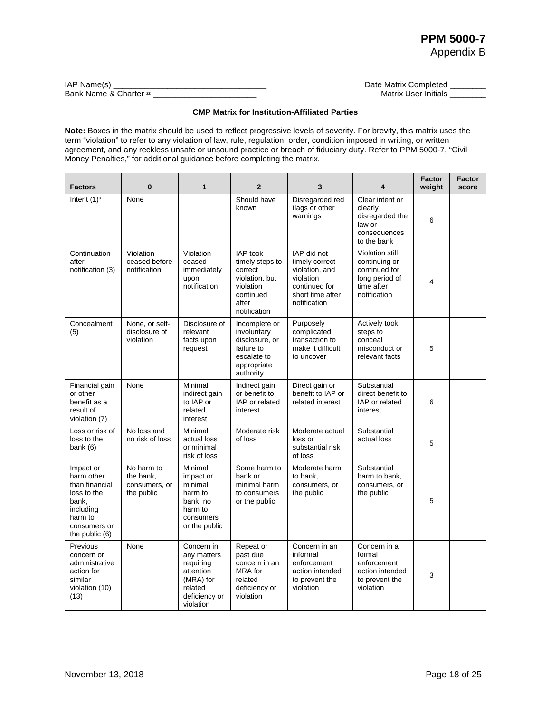| IAP Name(s)           | Date Matrix Completed |
|-----------------------|-----------------------|
| Bank Name & Charter # | Matrix User Initials  |

#### **CMP Matrix for Institution-Affiliated Parties**

**Note:** Boxes in the matrix should be used to reflect progressive levels of severity. For brevity, this matrix uses the term "violation" to refer to any violation of law, rule, regulation, order, condition imposed in writing, or written agreement, and any reckless unsafe or unsound practice or breach of fiduciary duty. Refer to PPM 5000-7, "Civil Money Penalties," for additional guidance before completing the matrix.

| <b>Factors</b>                                                                                                                | 0                                                      | $\mathbf{1}$                                                                                              | $\mathbf{2}$                                                                                                       | 3                                                                                                                 | 4                                                                                                        | <b>Factor</b><br>weight | <b>Factor</b><br>score |
|-------------------------------------------------------------------------------------------------------------------------------|--------------------------------------------------------|-----------------------------------------------------------------------------------------------------------|--------------------------------------------------------------------------------------------------------------------|-------------------------------------------------------------------------------------------------------------------|----------------------------------------------------------------------------------------------------------|-------------------------|------------------------|
| Intent $(1)^a$                                                                                                                | None                                                   |                                                                                                           | Should have<br>known                                                                                               | Disregarded red<br>flags or other<br>warnings                                                                     | Clear intent or<br>clearly<br>disregarded the<br>law or<br>consequences<br>to the bank                   | 6                       |                        |
| Continuation<br>after<br>notification (3)                                                                                     | Violation<br>ceased before<br>notification             | Violation<br>ceased<br>immediately<br>upon<br>notification                                                | <b>IAP</b> took<br>timely steps to<br>correct<br>violation, but<br>violation<br>continued<br>after<br>notification | IAP did not<br>timely correct<br>violation, and<br>violation<br>continued for<br>short time after<br>notification | <b>Violation still</b><br>continuing or<br>continued for<br>long period of<br>time after<br>notification | 4                       |                        |
| Concealment<br>(5)                                                                                                            | None, or self-<br>disclosure of<br>violation           | Disclosure of<br>relevant<br>facts upon<br>request                                                        | Incomplete or<br>involuntary<br>disclosure, or<br>failure to<br>escalate to<br>appropriate<br>authority            | Purposely<br>complicated<br>transaction to<br>make it difficult<br>to uncover                                     | Actively took<br>steps to<br>conceal<br>misconduct or<br>relevant facts                                  | 5                       |                        |
| Financial gain<br>or other<br>benefit as a<br>result of<br>violation (7)                                                      | None                                                   | Minimal<br>indirect gain<br>to IAP or<br>related<br>interest                                              | Indirect gain<br>or benefit to<br>IAP or related<br>interest                                                       | Direct gain or<br>benefit to IAP or<br>related interest                                                           | Substantial<br>direct benefit to<br>IAP or related<br>interest                                           | 6                       |                        |
| Loss or risk of<br>loss to the<br>bank $(6)$                                                                                  | No loss and<br>no risk of loss                         | Minimal<br>actual loss<br>or minimal<br>risk of loss                                                      | Moderate risk<br>of loss                                                                                           | Moderate actual<br>loss or<br>substantial risk<br>of loss                                                         | Substantial<br>actual loss                                                                               | 5                       |                        |
| Impact or<br>harm other<br>than financial<br>loss to the<br>bank,<br>including<br>harm to<br>consumers or<br>the public $(6)$ | No harm to<br>the bank,<br>consumers, or<br>the public | Minimal<br>impact or<br>minimal<br>harm to<br>bank; no<br>harm to<br>consumers<br>or the public           | Some harm to<br>bank or<br>minimal harm<br>to consumers<br>or the public                                           | Moderate harm<br>to bank.<br>consumers, or<br>the public                                                          | Substantial<br>harm to bank,<br>consumers, or<br>the public                                              | 5                       |                        |
| Previous<br>concern or<br>administrative<br>action for<br>similar<br>violation (10)<br>(13)                                   | None                                                   | Concern in<br>any matters<br>requiring<br>attention<br>(MRA) for<br>related<br>deficiency or<br>violation | Repeat or<br>past due<br>concern in an<br>MRA for<br>related<br>deficiency or<br>violation                         | Concern in an<br>informal<br>enforcement<br>action intended<br>to prevent the<br>violation                        | Concern in a<br>formal<br>enforcement<br>action intended<br>to prevent the<br>violation                  | 3                       |                        |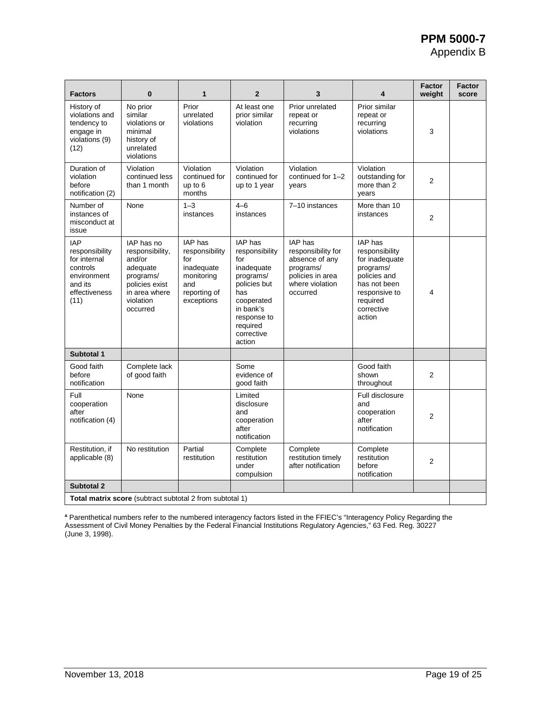| <b>Factors</b>                                                                                              | $\bf{0}$                                                                                                                     | 1                                                                                                 | $\overline{2}$                                                                                                                                                   | 3                                                                                                               | 4                                                                                                                                             | <b>Factor</b><br>weight | <b>Factor</b><br>score |
|-------------------------------------------------------------------------------------------------------------|------------------------------------------------------------------------------------------------------------------------------|---------------------------------------------------------------------------------------------------|------------------------------------------------------------------------------------------------------------------------------------------------------------------|-----------------------------------------------------------------------------------------------------------------|-----------------------------------------------------------------------------------------------------------------------------------------------|-------------------------|------------------------|
| History of<br>violations and<br>tendency to<br>engage in<br>violations (9)<br>(12)                          | No prior<br>similar<br>violations or<br>minimal<br>history of<br>unrelated<br>violations                                     | Prior<br>unrelated<br>violations                                                                  | At least one<br>prior similar<br>violation                                                                                                                       | Prior unrelated<br>repeat or<br>recurring<br>violations                                                         | Prior similar<br>repeat or<br>recurring<br>violations                                                                                         | 3                       |                        |
| Duration of<br>violation<br>before<br>notification (2)                                                      | Violation<br>continued less<br>than 1 month                                                                                  | Violation<br>continued for<br>up to 6<br>months                                                   | Violation<br>continued for<br>up to 1 year                                                                                                                       | Violation<br>continued for 1-2<br>years                                                                         | Violation<br>outstanding for<br>more than 2<br>years                                                                                          | $\overline{2}$          |                        |
| Number of<br>instances of<br>misconduct at<br>issue                                                         | None                                                                                                                         | $1 - 3$<br>instances                                                                              | $4 - 6$<br>instances                                                                                                                                             | 7-10 instances                                                                                                  | More than 10<br>instances                                                                                                                     | $\overline{2}$          |                        |
| <b>IAP</b><br>responsibility<br>for internal<br>controls<br>environment<br>and its<br>effectiveness<br>(11) | IAP has no<br>responsibility,<br>and/or<br>adequate<br>programs/<br>policies exist<br>in area where<br>violation<br>occurred | IAP has<br>responsibility<br>for<br>inadequate<br>monitoring<br>and<br>reporting of<br>exceptions | IAP has<br>responsibility<br>for<br>inadequate<br>programs/<br>policies but<br>has<br>cooperated<br>in bank's<br>response to<br>required<br>corrective<br>action | IAP has<br>responsibility for<br>absence of any<br>programs/<br>policies in area<br>where violation<br>occurred | IAP has<br>responsibility<br>for inadequate<br>programs/<br>policies and<br>has not been<br>responsive to<br>required<br>corrective<br>action | 4                       |                        |
| Subtotal 1                                                                                                  |                                                                                                                              |                                                                                                   |                                                                                                                                                                  |                                                                                                                 |                                                                                                                                               |                         |                        |
| Good faith<br>before<br>notification                                                                        | Complete lack<br>of good faith                                                                                               |                                                                                                   | Some<br>evidence of<br>good faith                                                                                                                                |                                                                                                                 | Good faith<br>shown<br>throughout                                                                                                             | 2                       |                        |
| Full<br>cooperation<br>after<br>notification (4)                                                            | None                                                                                                                         |                                                                                                   | Limited<br>disclosure<br>and<br>cooperation<br>after<br>notification                                                                                             |                                                                                                                 | Full disclosure<br>and<br>cooperation<br>after<br>notification                                                                                | $\overline{2}$          |                        |
| Restitution, if<br>applicable (8)                                                                           | No restitution                                                                                                               | Partial<br>restitution                                                                            | Complete<br>restitution<br>under<br>compulsion                                                                                                                   | Complete<br>restitution timely<br>after notification                                                            | Complete<br>restitution<br>before<br>notification                                                                                             | $\overline{2}$          |                        |
| <b>Subtotal 2</b>                                                                                           |                                                                                                                              |                                                                                                   |                                                                                                                                                                  |                                                                                                                 |                                                                                                                                               |                         |                        |
| <b>Total matrix score</b> (subtract subtotal 2 from subtotal 1)                                             |                                                                                                                              |                                                                                                   |                                                                                                                                                                  |                                                                                                                 |                                                                                                                                               |                         |                        |

**<sup>a</sup>** Parenthetical numbers refer to the numbered interagency factors listed in the FFIEC's "Interagency Policy Regarding the Assessment of Civil Money Penalties by the Federal Financial Institutions Regulatory Agencies," 63 Fed. Reg. 30227 (June 3, 1998).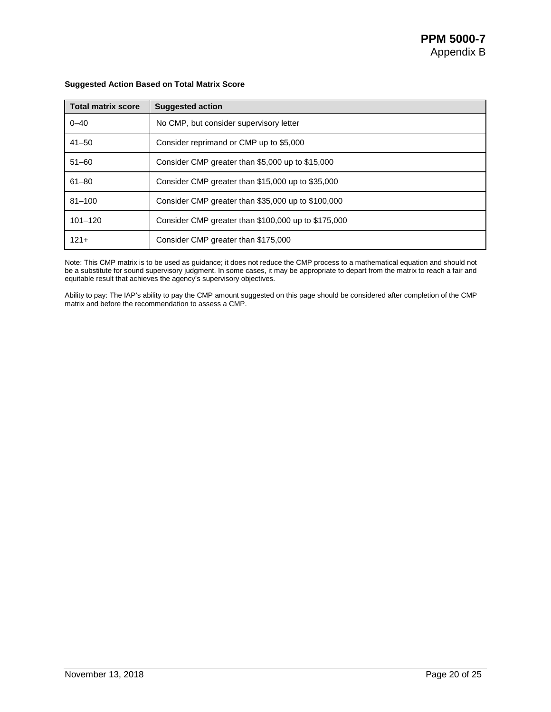| <b>Total matrix score</b> | <b>Suggested action</b>                             |  |  |
|---------------------------|-----------------------------------------------------|--|--|
| $0 - 40$                  | No CMP, but consider supervisory letter             |  |  |
| $41 - 50$                 | Consider reprimand or CMP up to \$5,000             |  |  |
| $51 - 60$                 | Consider CMP greater than \$5,000 up to \$15,000    |  |  |
| $61 - 80$                 | Consider CMP greater than \$15,000 up to \$35,000   |  |  |
| $81 - 100$                | Consider CMP greater than \$35,000 up to \$100,000  |  |  |
| $101 - 120$               | Consider CMP greater than \$100,000 up to \$175,000 |  |  |
| $121 +$                   | Consider CMP greater than \$175,000                 |  |  |

#### **Suggested Action Based on Total Matrix Score**

Note: This CMP matrix is to be used as guidance; it does not reduce the CMP process to a mathematical equation and should not be a substitute for sound supervisory judgment. In some cases, it may be appropriate to depart from the matrix to reach a fair and equitable result that achieves the agency's supervisory objectives.

Ability to pay: The IAP's ability to pay the CMP amount suggested on this page should be considered after completion of the CMP matrix and before the recommendation to assess a CMP.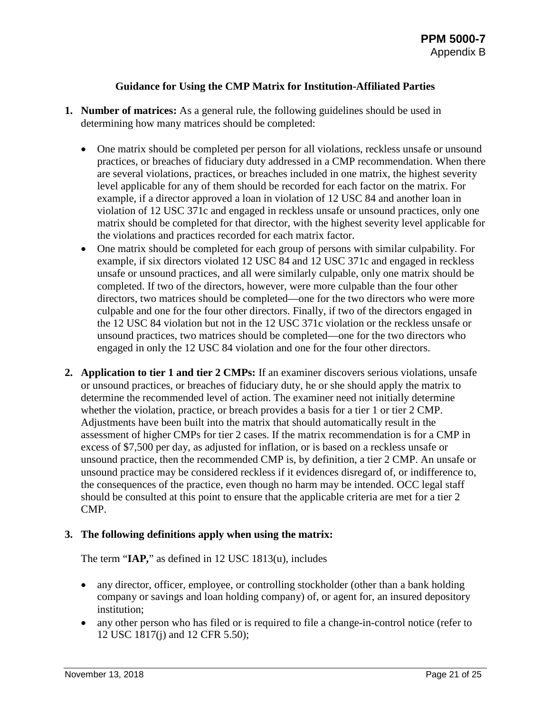#### **Guidance for Using the CMP Matrix for Institution-Affiliated Parties**

- **1. Number of matrices:** As a general rule, the following guidelines should be used in determining how many matrices should be completed:
	- One matrix should be completed per person for all violations, reckless unsafe or unsound practices, or breaches of fiduciary duty addressed in a CMP recommendation. When there are several violations, practices, or breaches included in one matrix, the highest severity level applicable for any of them should be recorded for each factor on the matrix. For example, if a director approved a loan in violation of 12 USC 84 and another loan in violation of 12 USC 371c and engaged in reckless unsafe or unsound practices, only one matrix should be completed for that director, with the highest severity level applicable for the violations and practices recorded for each matrix factor.
	- One matrix should be completed for each group of persons with similar culpability. For example, if six directors violated 12 USC 84 and 12 USC 371c and engaged in reckless unsafe or unsound practices, and all were similarly culpable, only one matrix should be completed. If two of the directors, however, were more culpable than the four other directors, two matrices should be completed—one for the two directors who were more culpable and one for the four other directors. Finally, if two of the directors engaged in the 12 USC 84 violation but not in the 12 USC 371c violation or the reckless unsafe or unsound practices, two matrices should be completed—one for the two directors who engaged in only the 12 USC 84 violation and one for the four other directors.
- **2. Application to tier 1 and tier 2 CMPs:** If an examiner discovers serious violations, unsafe or unsound practices, or breaches of fiduciary duty, he or she should apply the matrix to determine the recommended level of action. The examiner need not initially determine whether the violation, practice, or breach provides a basis for a tier 1 or tier 2 CMP. Adjustments have been built into the matrix that should automatically result in the assessment of higher CMPs for tier 2 cases. If the matrix recommendation is for a CMP in excess of \$7,500 per day, as adjusted for inflation, or is based on a reckless unsafe or unsound practice, then the recommended CMP is, by definition, a tier 2 CMP. An unsafe or unsound practice may be considered reckless if it evidences disregard of, or indifference to, the consequences of the practice, even though no harm may be intended. OCC legal staff should be consulted at this point to ensure that the applicable criteria are met for a tier 2 CMP.

#### **3. The following definitions apply when using the matrix:**

The term "**IAP,**" as defined in 12 USC 1813(u), includes

- any director, officer, employee, or controlling stockholder (other than a bank holding company or savings and loan holding company) of, or agent for, an insured depository institution;
- any other person who has filed or is required to file a change-in-control notice (refer to 12 USC 1817(j) and 12 CFR 5.50);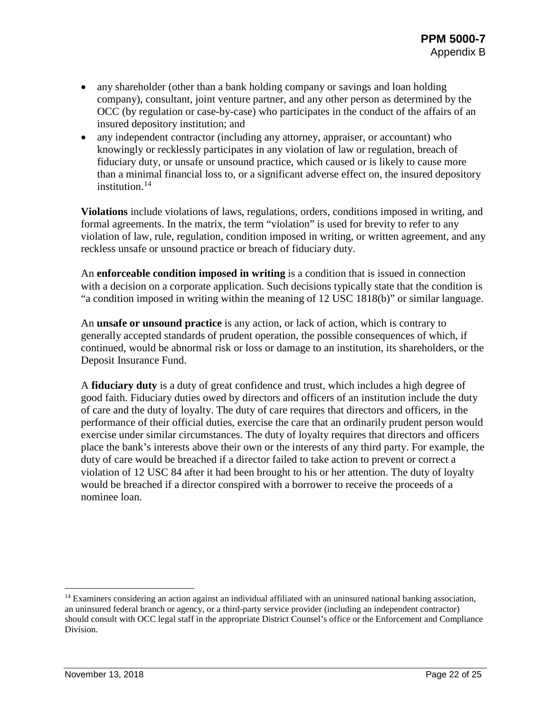- any shareholder (other than a bank holding company or savings and loan holding company), consultant, joint venture partner, and any other person as determined by the OCC (by regulation or case-by-case) who participates in the conduct of the affairs of an insured depository institution; and
- any independent contractor (including any attorney, appraiser, or accountant) who knowingly or recklessly participates in any violation of law or regulation, breach of fiduciary duty, or unsafe or unsound practice, which caused or is likely to cause more than a minimal financial loss to, or a significant adverse effect on, the insured depository institution.<sup>[14](#page-21-0)</sup>

**Violations** include violations of laws, regulations, orders, conditions imposed in writing, and formal agreements. In the matrix, the term "violation" is used for brevity to refer to any violation of law, rule, regulation, condition imposed in writing, or written agreement, and any reckless unsafe or unsound practice or breach of fiduciary duty.

An **enforceable condition imposed in writing** is a condition that is issued in connection with a decision on a corporate application. Such decisions typically state that the condition is "a condition imposed in writing within the meaning of 12 USC 1818(b)" or similar language.

An **unsafe or unsound practice** is any action, or lack of action, which is contrary to generally accepted standards of prudent operation, the possible consequences of which, if continued, would be abnormal risk or loss or damage to an institution, its shareholders, or the Deposit Insurance Fund.

A **fiduciary duty** is a duty of great confidence and trust, which includes a high degree of good faith. Fiduciary duties owed by directors and officers of an institution include the duty of care and the duty of loyalty. The duty of care requires that directors and officers, in the performance of their official duties, exercise the care that an ordinarily prudent person would exercise under similar circumstances. The duty of loyalty requires that directors and officers place the bank's interests above their own or the interests of any third party. For example, the duty of care would be breached if a director failed to take action to prevent or correct a violation of 12 USC 84 after it had been brought to his or her attention. The duty of loyalty would be breached if a director conspired with a borrower to receive the proceeds of a nominee loan.

<span id="page-21-0"></span><sup>&</sup>lt;sup>14</sup> Examiners considering an action against an individual affiliated with an uninsured national banking association, an uninsured federal branch or agency, or a third-party service provider (including an independent contractor) should consult with OCC legal staff in the appropriate District Counsel's office or the Enforcement and Compliance Division.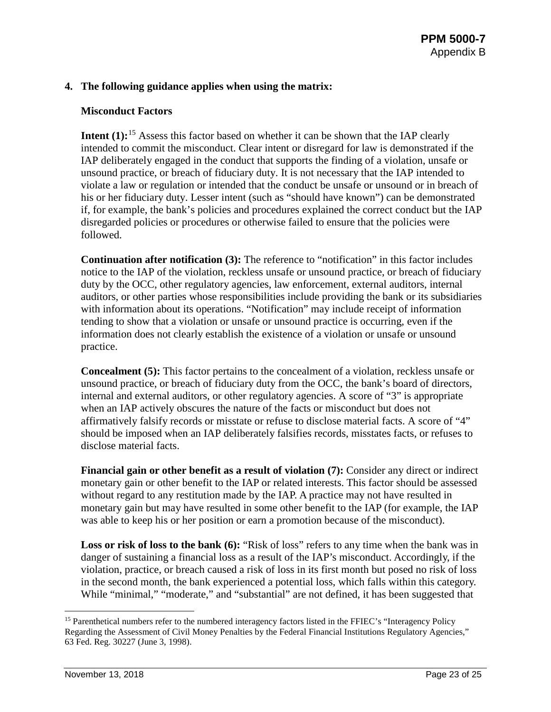#### **4. The following guidance applies when using the matrix:**

#### **Misconduct Factors**

**Intent (1):**<sup>[15](#page-22-0)</sup> Assess this factor based on whether it can be shown that the IAP clearly intended to commit the misconduct. Clear intent or disregard for law is demonstrated if the IAP deliberately engaged in the conduct that supports the finding of a violation, unsafe or unsound practice, or breach of fiduciary duty. It is not necessary that the IAP intended to violate a law or regulation or intended that the conduct be unsafe or unsound or in breach of his or her fiduciary duty. Lesser intent (such as "should have known") can be demonstrated if, for example, the bank's policies and procedures explained the correct conduct but the IAP disregarded policies or procedures or otherwise failed to ensure that the policies were followed.

**Continuation after notification (3):** The reference to "notification" in this factor includes notice to the IAP of the violation, reckless unsafe or unsound practice, or breach of fiduciary duty by the OCC, other regulatory agencies, law enforcement, external auditors, internal auditors, or other parties whose responsibilities include providing the bank or its subsidiaries with information about its operations. "Notification" may include receipt of information tending to show that a violation or unsafe or unsound practice is occurring, even if the information does not clearly establish the existence of a violation or unsafe or unsound practice.

**Concealment (5):** This factor pertains to the concealment of a violation, reckless unsafe or unsound practice, or breach of fiduciary duty from the OCC, the bank's board of directors, internal and external auditors, or other regulatory agencies. A score of "3" is appropriate when an IAP actively obscures the nature of the facts or misconduct but does not affirmatively falsify records or misstate or refuse to disclose material facts. A score of "4" should be imposed when an IAP deliberately falsifies records, misstates facts, or refuses to disclose material facts.

**Financial gain or other benefit as a result of violation (7):** Consider any direct or indirect monetary gain or other benefit to the IAP or related interests. This factor should be assessed without regard to any restitution made by the IAP. A practice may not have resulted in monetary gain but may have resulted in some other benefit to the IAP (for example, the IAP was able to keep his or her position or earn a promotion because of the misconduct).

**Loss or risk of loss to the bank (6):** "Risk of loss" refers to any time when the bank was in danger of sustaining a financial loss as a result of the IAP's misconduct. Accordingly, if the violation, practice, or breach caused a risk of loss in its first month but posed no risk of loss in the second month, the bank experienced a potential loss, which falls within this category. While "minimal," "moderate," and "substantial" are not defined, it has been suggested that

<span id="page-22-0"></span><sup>&</sup>lt;sup>15</sup> Parenthetical numbers refer to the numbered interagency factors listed in the FFIEC's "Interagency Policy Regarding the Assessment of Civil Money Penalties by the Federal Financial Institutions Regulatory Agencies," 63 Fed. Reg. 30227 (June 3, 1998).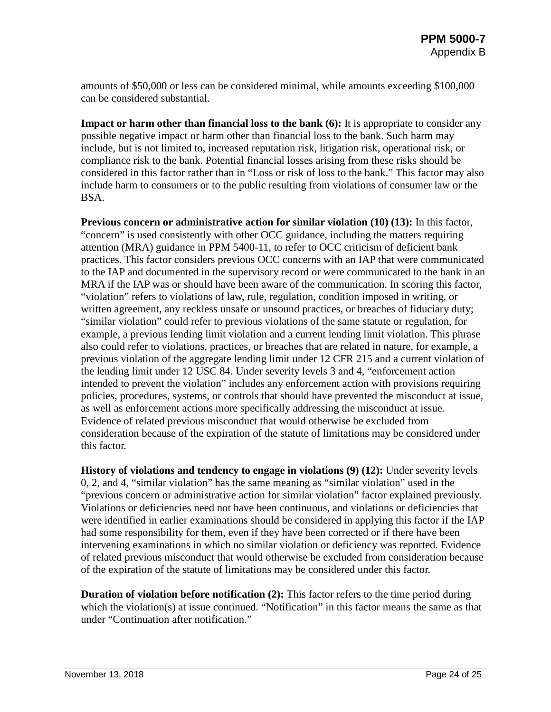amounts of \$50,000 or less can be considered minimal, while amounts exceeding \$100,000 can be considered substantial.

**Impact or harm other than financial loss to the bank (6):** It is appropriate to consider any possible negative impact or harm other than financial loss to the bank. Such harm may include, but is not limited to, increased reputation risk, litigation risk, operational risk, or compliance risk to the bank. Potential financial losses arising from these risks should be considered in this factor rather than in "Loss or risk of loss to the bank." This factor may also include harm to consumers or to the public resulting from violations of consumer law or the BSA.

**Previous concern or administrative action for similar violation (10) (13):** In this factor, "concern" is used consistently with other OCC guidance, including the matters requiring attention (MRA) guidance in PPM 5400-11, to refer to OCC criticism of deficient bank practices. This factor considers previous OCC concerns with an IAP that were communicated to the IAP and documented in the supervisory record or were communicated to the bank in an MRA if the IAP was or should have been aware of the communication. In scoring this factor, "violation" refers to violations of law, rule, regulation, condition imposed in writing, or written agreement, any reckless unsafe or unsound practices, or breaches of fiduciary duty; "similar violation" could refer to previous violations of the same statute or regulation, for example, a previous lending limit violation and a current lending limit violation. This phrase also could refer to violations, practices, or breaches that are related in nature, for example, a previous violation of the aggregate lending limit under 12 CFR 215 and a current violation of the lending limit under 12 USC 84. Under severity levels 3 and 4, "enforcement action intended to prevent the violation" includes any enforcement action with provisions requiring policies, procedures, systems, or controls that should have prevented the misconduct at issue, as well as enforcement actions more specifically addressing the misconduct at issue. Evidence of related previous misconduct that would otherwise be excluded from consideration because of the expiration of the statute of limitations may be considered under this factor.

**History of violations and tendency to engage in violations (9) (12):** Under severity levels 0, 2, and 4, "similar violation" has the same meaning as "similar violation" used in the "previous concern or administrative action for similar violation" factor explained previously. Violations or deficiencies need not have been continuous, and violations or deficiencies that were identified in earlier examinations should be considered in applying this factor if the IAP had some responsibility for them, even if they have been corrected or if there have been intervening examinations in which no similar violation or deficiency was reported. Evidence of related previous misconduct that would otherwise be excluded from consideration because of the expiration of the statute of limitations may be considered under this factor.

**Duration of violation before notification (2):** This factor refers to the time period during which the violation(s) at issue continued. "Notification" in this factor means the same as that under "Continuation after notification."